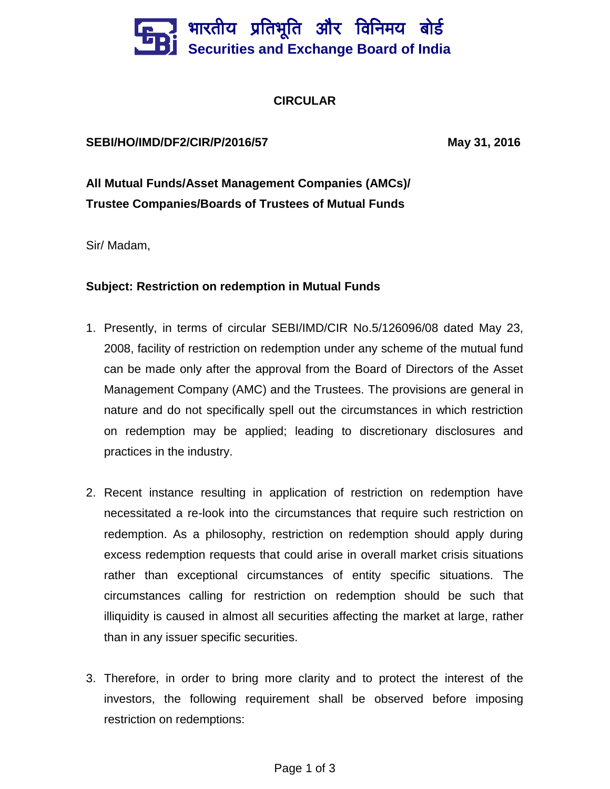

### **CIRCULAR**

#### SEBI/HO/IMD/DF2/CIR/P/2016/57 May 31, 2016

### **All Mutual Funds/Asset Management Companies (AMCs)/ Trustee Companies/Boards of Trustees of Mutual Funds**

Sir/ Madam,

#### **Subject: Restriction on redemption in Mutual Funds**

- 1. Presently, in terms of circular SEBI/IMD/CIR No.5/126096/08 dated May 23, 2008, facility of restriction on redemption under any scheme of the mutual fund can be made only after the approval from the Board of Directors of the Asset Management Company (AMC) and the Trustees. The provisions are general in nature and do not specifically spell out the circumstances in which restriction on redemption may be applied; leading to discretionary disclosures and practices in the industry.
- 2. Recent instance resulting in application of restriction on redemption have necessitated a re-look into the circumstances that require such restriction on redemption. As a philosophy, restriction on redemption should apply during excess redemption requests that could arise in overall market crisis situations rather than exceptional circumstances of entity specific situations. The circumstances calling for restriction on redemption should be such that illiquidity is caused in almost all securities affecting the market at large, rather than in any issuer specific securities.
- 3. Therefore, in order to bring more clarity and to protect the interest of the investors, the following requirement shall be observed before imposing restriction on redemptions: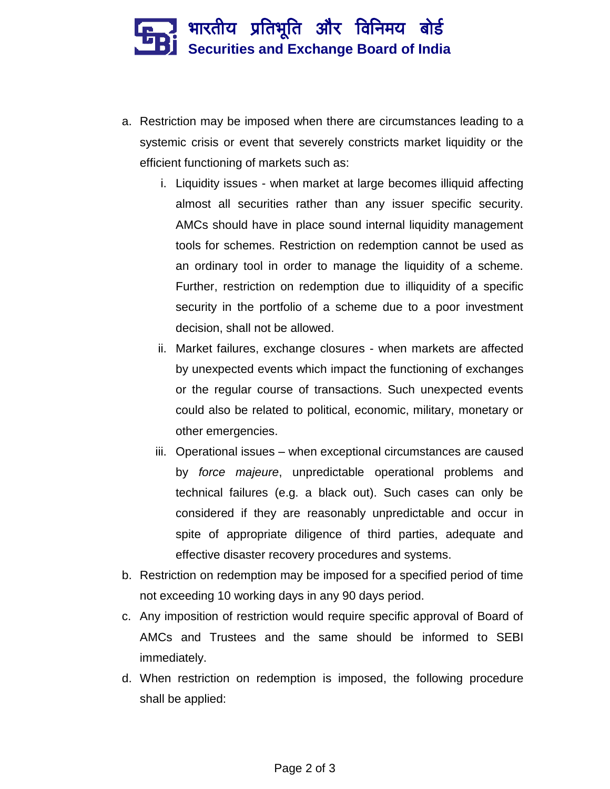## भारतीय प्रतिभूति और विनिमय बो**र्ड Securities and Exchange Board of India**

- a. Restriction may be imposed when there are circumstances leading to a systemic crisis or event that severely constricts market liquidity or the efficient functioning of markets such as:
	- i. Liquidity issues when market at large becomes illiquid affecting almost all securities rather than any issuer specific security. AMCs should have in place sound internal liquidity management tools for schemes. Restriction on redemption cannot be used as an ordinary tool in order to manage the liquidity of a scheme. Further, restriction on redemption due to illiquidity of a specific security in the portfolio of a scheme due to a poor investment decision, shall not be allowed.
	- ii. Market failures, exchange closures when markets are affected by unexpected events which impact the functioning of exchanges or the regular course of transactions. Such unexpected events could also be related to political, economic, military, monetary or other emergencies.
	- iii. Operational issues when exceptional circumstances are caused by *force majeure*, unpredictable operational problems and technical failures (e.g. a black out). Such cases can only be considered if they are reasonably unpredictable and occur in spite of appropriate diligence of third parties, adequate and effective disaster recovery procedures and systems.
- b. Restriction on redemption may be imposed for a specified period of time not exceeding 10 working days in any 90 days period.
- c. Any imposition of restriction would require specific approval of Board of AMCs and Trustees and the same should be informed to SEBI immediately.
- d. When restriction on redemption is imposed, the following procedure shall be applied: